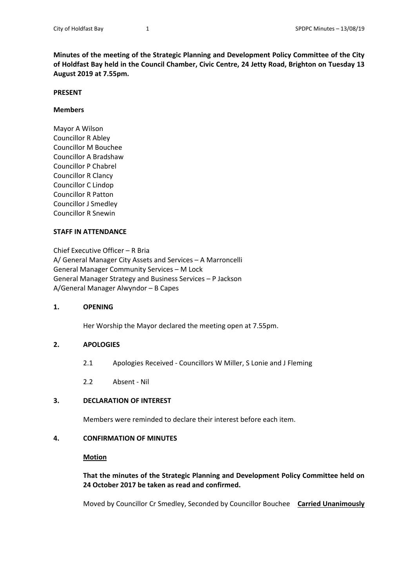**Minutes of the meeting of the Strategic Planning and Development Policy Committee of the City of Holdfast Bay held in the Council Chamber, Civic Centre, 24 Jetty Road, Brighton on Tuesday 13 August 2019 at 7.55pm.** 

#### **PRESENT**

### **Members**

Mayor A Wilson Councillor R Abley Councillor M Bouchee Councillor A Bradshaw Councillor P Chabrel Councillor R Clancy Councillor C Lindop Councillor R Patton Councillor J Smedley Councillor R Snewin

### **STAFF IN ATTENDANCE**

Chief Executive Officer – R Bria A/ General Manager City Assets and Services – A Marroncelli General Manager Community Services – M Lock General Manager Strategy and Business Services – P Jackson A/General Manager Alwyndor – B Capes

## **1. OPENING**

Her Worship the Mayor declared the meeting open at 7.55pm.

## **2. APOLOGIES**

- 2.1 Apologies Received Councillors W Miller, S Lonie and J Fleming
- 2.2 Absent ‐ Nil

# **3. DECLARATION OF INTEREST**

Members were reminded to declare their interest before each item.

## **4. CONFIRMATION OF MINUTES**

# **Motion**

 **That the minutes of the Strategic Planning and Development Policy Committee held on 24 October 2017 be taken as read and confirmed.** 

Moved by Councillor Cr Smedley, Seconded by Councillor Bouchee **Carried Unanimously**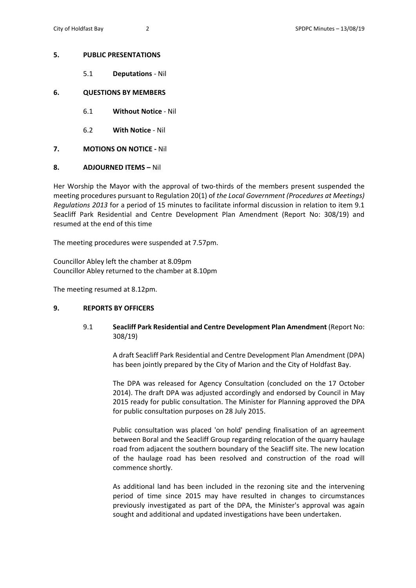### **5. PUBLIC PRESENTATIONS**

5.1 **Deputations** ‐ Nil

### **6. QUESTIONS BY MEMBERS**

- 6.1 **Without Notice** ‐ Nil
- 6.2 **With Notice** ‐ Nil
- **7. MOTIONS ON NOTICE ‐** Nil
- **8. ADJOURNED ITEMS** Nil

Her Worship the Mayor with the approval of two-thirds of the members present suspended the meeting procedures pursuant to Regulation 20(1) of *the Local Government (Procedures at Meetings) Regulations 2013* for a period of 15 minutes to facilitate informal discussion in relation to item 9.1 Seacliff Park Residential and Centre Development Plan Amendment (Report No: 308/19) and resumed at the end of this time

The meeting procedures were suspended at 7.57pm.

Councillor Abley left the chamber at 8.09pm Councillor Abley returned to the chamber at 8.10pm

The meeting resumed at 8.12pm.

## **9. REPORTS BY OFFICERS**

9.1 **Seacliff Park Residential and Centre Development Plan Amendment** (Report No: 308/19)

> A draft Seacliff Park Residential and Centre Development Plan Amendment (DPA) has been jointly prepared by the City of Marion and the City of Holdfast Bay.

> The DPA was released for Agency Consultation (concluded on the 17 October 2014). The draft DPA was adjusted accordingly and endorsed by Council in May 2015 ready for public consultation. The Minister for Planning approved the DPA for public consultation purposes on 28 July 2015.

> Public consultation was placed 'on hold' pending finalisation of an agreement between Boral and the Seacliff Group regarding relocation of the quarry haulage road from adjacent the southern boundary of the Seacliff site. The new location of the haulage road has been resolved and construction of the road will commence shortly.

> As additional land has been included in the rezoning site and the intervening period of time since 2015 may have resulted in changes to circumstances previously investigated as part of the DPA, the Minister's approval was again sought and additional and updated investigations have been undertaken.